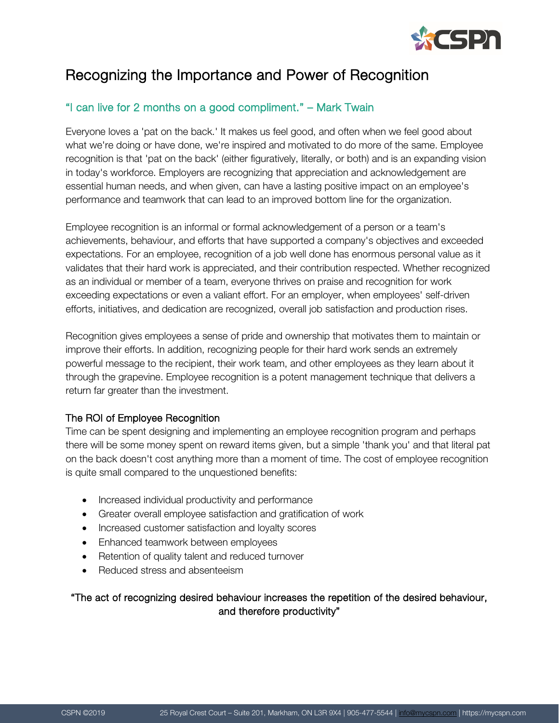

# Recognizing the Importance and Power of Recognition

## "I can live for 2 months on a good compliment." – Mark Twain

Everyone loves a 'pat on the back.' It makes us feel good, and often when we feel good about what we're doing or have done, we're inspired and motivated to do more of the same. Employee recognition is that 'pat on the back' (either figuratively, literally, or both) and is an expanding vision in today's workforce. Employers are recognizing that appreciation and acknowledgement are essential human needs, and when given, can have a lasting positive impact on an employee's performance and teamwork that can lead to an improved bottom line for the organization.

Employee recognition is an informal or formal acknowledgement of a person or a team's achievements, behaviour, and efforts that have supported a company's objectives and exceeded expectations. For an employee, recognition of a job well done has enormous personal value as it validates that their hard work is appreciated, and their contribution respected. Whether recognized as an individual or member of a team, everyone thrives on praise and recognition for work exceeding expectations or even a valiant effort. For an employer, when employees' self-driven efforts, initiatives, and dedication are recognized, overall job satisfaction and production rises.

Recognition gives employees a sense of pride and ownership that motivates them to maintain or improve their efforts. In addition, recognizing people for their hard work sends an extremely powerful message to the recipient, their work team, and other employees as they learn about it through the grapevine. Employee recognition is a potent management technique that delivers a return far greater than the investment.

#### The ROI of Employee Recognition

Time can be spent designing and implementing an employee recognition program and perhaps there will be some money spent on reward items given, but a simple 'thank you' and that literal pat on the back doesn't cost anything more than a moment of time. The cost of employee recognition is quite small compared to the unquestioned benefits:

- Increased individual productivity and performance
- Greater overall employee satisfaction and gratification of work
- Increased customer satisfaction and loyalty scores
- Enhanced teamwork between employees
- Retention of quality talent and reduced turnover
- Reduced stress and absenteeism

#### "The act of recognizing desired behaviour increases the repetition of the desired behaviour, and therefore productivity"